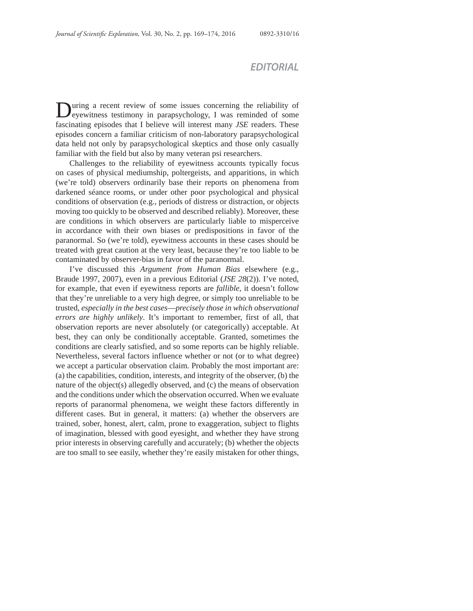## *EDITORIAL*

During a recent review of some issues concerning the reliability of eyewitness testimony in parapsychology, I was reminded of some fascinating episodes that I believe will interest many *JSE* readers. These episodes concern a familiar criticism of non-laboratory parapsychological data held not only by parapsychological skeptics and those only casually familiar with the field but also by many veteran psi researchers.

Challenges to the reliability of eyewitness accounts typically focus on cases of physical mediumship, poltergeists, and apparitions, in which (we're told) observers ordinarily base their reports on phenomena from darkened séance rooms, or under other poor psychological and physical conditions of observation (e.g., periods of distress or distraction, or objects moving too quickly to be observed and described reliably). Moreover, these are conditions in which observers are particularly liable to misperceive in accordance with their own biases or predispositions in favor of the paranormal. So (we're told), eyewitness accounts in these cases should be treated with great caution at the very least, because they're too liable to be contaminated by observer-bias in favor of the paranormal.

I've discussed this *Argument from Human Bias* elsewhere (e.g., Braude 1997, 2007), even in a previous Editorial (*JSE 28*(2)). I've noted, for example, that even if eyewitness reports are *fallible*, it doesn't follow that they're unreliable to a very high degree, or simply too unreliable to be trusted, *especially in the best cases*—*precisely those in which observational errors are highly unlikely*. It's important to remember, first of all, that observation reports are never absolutely (or categorically) acceptable. At best, they can only be conditionally acceptable. Granted, sometimes the conditions are clearly satisfied, and so some reports can be highly reliable. Nevertheless, several factors influence whether or not (or to what degree) we accept a particular observation claim. Probably the most important are: (a) the capabilities, condition, interests, and integrity of the observer, (b) the nature of the object(s) allegedly observed, and (c) the means of observation and the conditions under which the observation occurred. When we evaluate reports of paranormal phenomena, we weight these factors differently in different cases. But in general, it matters: (a) whether the observers are trained, sober, honest, alert, calm, prone to exaggeration, subject to flights of imagination, blessed with good eyesight, and whether they have strong prior interests in observing carefully and accurately; (b) whether the objects are too small to see easily, whether they're easily mistaken for other things,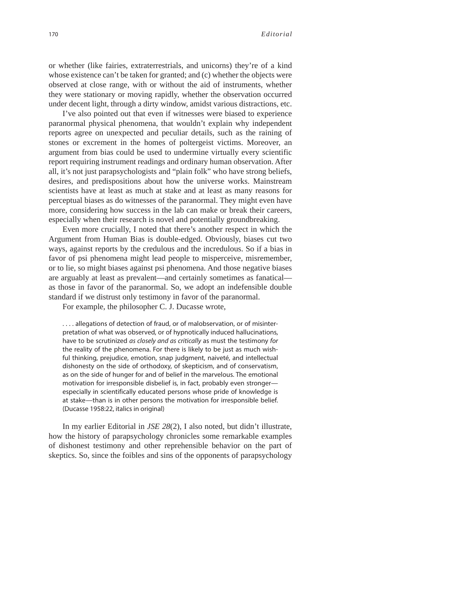or whether (like fairies, extraterrestrials, and unicorns) they're of a kind whose existence can't be taken for granted; and (c) whether the objects were observed at close range, with or without the aid of instruments, whether they were stationary or moving rapidly, whether the observation occurred under decent light, through a dirty window, amidst various distractions, etc.

I've also pointed out that even if witnesses were biased to experience paranormal physical phenomena, that wouldn't explain why independent reports agree on unexpected and peculiar details, such as the raining of stones or excrement in the homes of poltergeist victims. Moreover, an argument from bias could be used to undermine virtually every scientific report requiring instrument readings and ordinary human observation. After all, it's not just parapsychologists and "plain folk" who have strong beliefs, desires, and predispositions about how the universe works. Mainstream scientists have at least as much at stake and at least as many reasons for perceptual biases as do witnesses of the paranormal. They might even have more, considering how success in the lab can make or break their careers, especially when their research is novel and potentially groundbreaking.

Even more crucially, I noted that there's another respect in which the Argument from Human Bias is double-edged. Obviously, biases cut two ways, against reports by the credulous and the incredulous. So if a bias in favor of psi phenomena might lead people to misperceive, misremember, or to lie, so might biases against psi phenomena. And those negative biases are arguably at least as prevalent—and certainly sometimes as fanatical as those in favor of the paranormal. So, we adopt an indefensible double standard if we distrust only testimony in favor of the paranormal.

For example, the philosopher C. J. Ducasse wrote,

. . . . allegations of detection of fraud, or of malobservation, or of misinterpretation of what was observed, or of hypnotically induced hallucinations, have to be scrutinized *as closely and as critically* as must the testimony *for* the reality of the phenomena. For there is likely to be just as much wishful thinking, prejudice, emotion, snap judgment, naiveté, and intellectual dishonesty on the side of orthodoxy, of skepticism, and of conservatism, as on the side of hunger for and of belief in the marvelous. The emotional motivation for irresponsible disbelief is, in fact, probably even stronger especially in scientifically educated persons whose pride of knowledge is at stake—than is in other persons the motivation for irresponsible belief. (Ducasse 1958:22, italics in original)

In my earlier Editorial in *JSE 28*(2), I also noted, but didn't illustrate, how the history of parapsychology chronicles some remarkable examples of dishonest testimony and other reprehensible behavior on the part of skeptics. So, since the foibles and sins of the opponents of parapsychology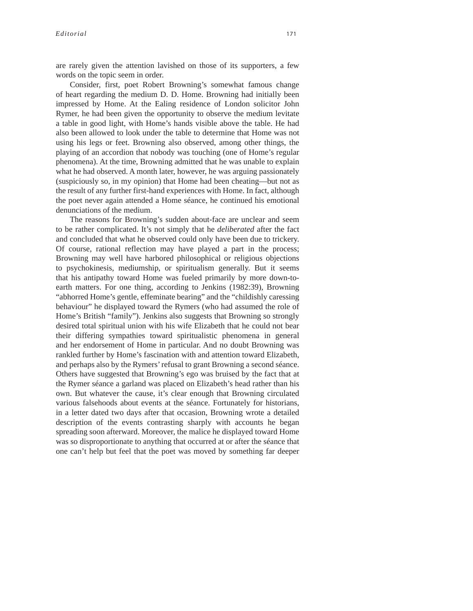are rarely given the attention lavished on those of its supporters, a few words on the topic seem in order.

Consider, first, poet Robert Browning's somewhat famous change of heart regarding the medium D. D. Home. Browning had initially been impressed by Home. At the Ealing residence of London solicitor John Rymer, he had been given the opportunity to observe the medium levitate a table in good light, with Home's hands visible above the table. He had also been allowed to look under the table to determine that Home was not using his legs or feet. Browning also observed, among other things, the playing of an accordion that nobody was touching (one of Home's regular phenomena). At the time, Browning admitted that he was unable to explain what he had observed. A month later, however, he was arguing passionately (suspiciously so, in my opinion) that Home had been cheating—but not as the result of any further first-hand experiences with Home. In fact, although the poet never again attended a Home séance, he continued his emotional denunciations of the medium.

The reasons for Browning's sudden about-face are unclear and seem to be rather complicated. It's not simply that he *deliberated* after the fact and concluded that what he observed could only have been due to trickery. Of course, rational reflection may have played a part in the process; Browning may well have harbored philosophical or religious objections to psychokinesis, mediumship, or spiritualism generally. But it seems that his antipathy toward Home was fueled primarily by more down-toearth matters. For one thing, according to Jenkins (1982:39), Browning "abhorred Home's gentle, effeminate bearing" and the "childishly caressing behaviour" he displayed toward the Rymers (who had assumed the role of Home's British "family"). Jenkins also suggests that Browning so strongly desired total spiritual union with his wife Elizabeth that he could not bear their differing sympathies toward spiritualistic phenomena in general and her endorsement of Home in particular. And no doubt Browning was rankled further by Home's fascination with and attention toward Elizabeth, and perhaps also by the Rymers' refusal to grant Browning a second séance. Others have suggested that Browning's ego was bruised by the fact that at the Rymer séance a garland was placed on Elizabeth's head rather than his own. But whatever the cause, it's clear enough that Browning circulated various falsehoods about events at the séance. Fortunately for historians, in a letter dated two days after that occasion, Browning wrote a detailed description of the events contrasting sharply with accounts he began spreading soon afterward. Moreover, the malice he displayed toward Home was so disproportionate to anything that occurred at or after the séance that one can't help but feel that the poet was moved by something far deeper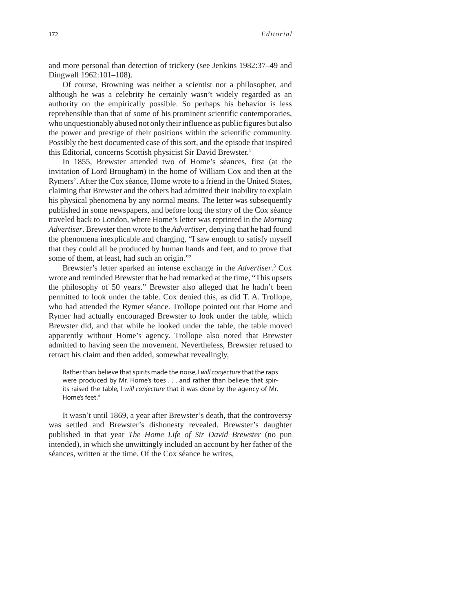and more personal than detection of trickery (see Jenkins 1982:37–49 and Dingwall 1962:101–108).

Of course, Browning was neither a scientist nor a philosopher, and although he was a celebrity he certainly wasn't widely regarded as an authority on the empirically possible. So perhaps his behavior is less reprehensible than that of some of his prominent scientific contemporaries, who unquestionably abused not only their influence as public figures but also the power and prestige of their positions within the scientific community. Possibly the best documented case of this sort, and the episode that inspired this Editorial, concerns Scottish physicist Sir David Brewster.1

In 1855, Brewster attended two of Home's séances, first (at the invitation of Lord Brougham) in the home of William Cox and then at the Rymers'. After the Cox séance, Home wrote to a friend in the United States, claiming that Brewster and the others had admitted their inability to explain his physical phenomena by any normal means. The letter was subsequently published in some newspapers, and before long the story of the Cox séance traveled back to London, where Home's letter was reprinted in the *Morning Advertiser*. Brewster then wrote to the *Advertiser*, denying that he had found the phenomena inexplicable and charging, "I saw enough to satisfy myself that they could all be produced by human hands and feet, and to prove that some of them, at least, had such an origin."2

Brewster's letter sparked an intense exchange in the *Advertiser*. 3 Cox wrote and reminded Brewster that he had remarked at the time, "This upsets the philosophy of 50 years." Brewster also alleged that he hadn't been permitted to look under the table. Cox denied this, as did T. A. Trollope, who had attended the Rymer séance. Trollope pointed out that Home and Rymer had actually encouraged Brewster to look under the table, which Brewster did, and that while he looked under the table, the table moved apparently without Home's agency. Trollope also noted that Brewster admitted to having seen the movement. Nevertheless, Brewster refused to retract his claim and then added, somewhat revealingly,

Rather than believe that spirits made the noise, I *will conjecture* that the raps were produced by Mr. Home's toes . . . and rather than believe that spirits raised the table, I *will conjecture* that it was done by the agency of Mr. Home's feet.<sup>4</sup>

It wasn't until 1869, a year after Brewster's death, that the controversy was settled and Brewster's dishonesty revealed. Brewster's daughter published in that year *The Home Life of Sir David Brewster* (no pun intended), in which she unwittingly included an account by her father of the séances, written at the time. Of the Cox séance he writes,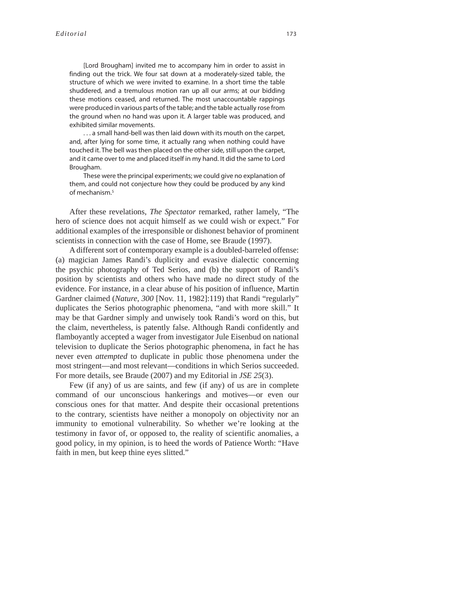[Lord Brougham] invited me to accompany him in order to assist in finding out the trick. We four sat down at a moderately-sized table, the structure of which we were invited to examine. In a short time the table shuddered, and a tremulous motion ran up all our arms; at our bidding these motions ceased, and returned. The most unaccountable rappings were produced in various parts of the table; and the table actually rose from the ground when no hand was upon it. A larger table was produced, and exhibited similar movements.

. . . a small hand-bell was then laid down with its mouth on the carpet, and, after lying for some time, it actually rang when nothing could have touched it. The bell was then placed on the other side, still upon the carpet, and it came over to me and placed itself in my hand. It did the same to Lord Brougham.

These were the principal experiments; we could give no explanation of them, and could not conjecture how they could be produced by any kind of mechanism.5

After these revelations, *The Spectator* remarked, rather lamely, "The hero of science does not acquit himself as we could wish or expect." For additional examples of the irresponsible or dishonest behavior of prominent scientists in connection with the case of Home, see Braude (1997).

A different sort of contemporary example is a doubled-barreled offense: (a) magician James Randi's duplicity and evasive dialectic concerning the psychic photography of Ted Serios, and (b) the support of Randi's position by scientists and others who have made no direct study of the evidence. For instance, in a clear abuse of his position of influence, Martin Gardner claimed (*Nature*, *300* [Nov. 11, 1982]:119) that Randi "regularly" duplicates the Serios photographic phenomena, "and with more skill." It may be that Gardner simply and unwisely took Randi's word on this, but the claim, nevertheless, is patently false. Although Randi confidently and flamboyantly accepted a wager from investigator Jule Eisenbud on national television to duplicate the Serios photographic phenomena, in fact he has never even *attempted* to duplicate in public those phenomena under the most stringent—and most relevant—conditions in which Serios succeeded. For more details, see Braude (2007) and my Editorial in *JSE 25*(3).

Few (if any) of us are saints, and few (if any) of us are in complete command of our unconscious hankerings and motives—or even our conscious ones for that matter. And despite their occasional pretentions to the contrary, scientists have neither a monopoly on objectivity nor an immunity to emotional vulnerability. So whether we're looking at the testimony in favor of, or opposed to, the reality of scientific anomalies, a good policy, in my opinion, is to heed the words of Patience Worth: "Have faith in men, but keep thine eyes slitted."